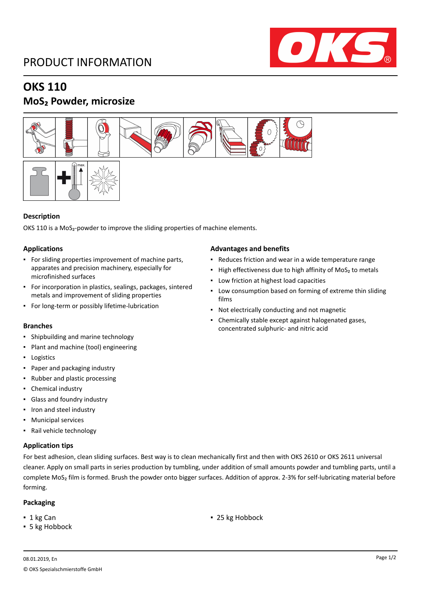### PRODUCT INFORMATION



## **OKS 110**

### **MoS₂ Powder, microsize**





#### **Description**

OKS 110 is a MoS<sub>2</sub>-powder to improve the sliding properties of machine elements.

#### **Applications**

- For sliding properties improvement of machine parts, apparates and precision machinery, especially for microfinished surfaces
- For incorporation in plastics, sealings, packages, sintered metals and improvement of sliding properties
- For long-term or possibly lifetime-lubrication

- Shipbuilding and marine technology
- Plant and machine (tool) engineering
- Logistics
- Paper and packaging industry
- Rubber and plastic processing
- Chemical industry
- Glass and foundry industry
- Iron and steel industry
- Municipal services
- Rail vehicle technology

#### **Application tips**

### For best adhesion, clean sliding surfaces. Best way is to clean mechanically first and then with OKS 2610 or OKS 2611 universal cleaner. Apply on small parts in series production by tumbling, under addition of small amounts powder and tumbling parts, until a complete MoS₂ film is formed. Brush the powder onto bigger surfaces. Addition of approx. 2-3% for self-lubricating material before forming.

#### **Packaging**

- 
- **5 kg Hobbock**
- 1 kg Can **■** 25 kg Hobbock

#### **Advantages and benefits**

- Reduces friction and wear in a wide temperature range
- High effectiveness due to high affinity of MoS<sub>2</sub> to metals
- Low friction at highest load capacities
- **Low consumption based on forming of extreme thin sliding** films
- Not electrically conducting and not magnetic
- Chemically stable except against halogenated gases, **Branches** concentrated sulphuric- and nitric acid